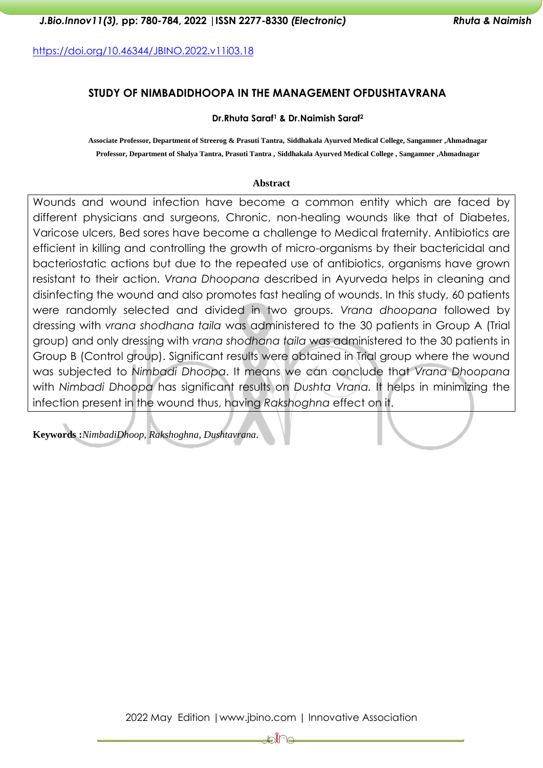<https://doi.org/10.46344/JBINO.2022.v11i03.18>

# **STUDY OF NIMBADIDHOOPA IN THE MANAGEMENT OFDUSHTAVRANA**

### **Dr.Rhuta Saraf<sup>1</sup> & Dr.Naimish Saraf<sup>2</sup>**

**Associate Professor, Department of Streerog & Prasuti Tantra, Siddhakala Ayurved Medical College, Sangamner ,Ahmadnagar Professor, Department of Shalya Tantra, Prasuti Tantra , Siddhakala Ayurved Medical College , Sangamner ,Ahmadnagar** 

#### **Abstract**

Wounds and wound infection have become a common entity which are faced by different physicians and surgeons, Chronic, non-healing wounds like that of Diabetes, Varicose ulcers, Bed sores have become a challenge to Medical fraternity. Antibiotics are efficient in killing and controlling the growth of micro-organisms by their bactericidal and bacteriostatic actions but due to the repeated use of antibiotics, organisms have grown resistant to their action. *Vrana Dhoopana* described in Ayurveda helps in cleaning and disinfecting the wound and also promotes fast healing of wounds. In this study, 60 patients were randomly selected and divided in two groups. *Vrana dhoopana* followed by dressing with *vrana shodhana taila* was administered to the 30 patients in Group A (Trial group) and only dressing with *vrana shodhana taila* was administered to the 30 patients in Group B (Control group). Significant results were obtained in Trial group where the wound was subjected to *Nimbadi Dhoopa*. It means we can conclude that *Vrana Dhoopana* with *Nimbadi Dhoopa* has significant results on *Dushta Vrana.* It helps in minimizing the infection present in the wound thus, having *Rakshoghna* effect on it.

**Keywords :***NimbadiDhoop, Rakshoghna, Dushtavrana*.

2022 May Edition |www.jbino.com | Innovative Association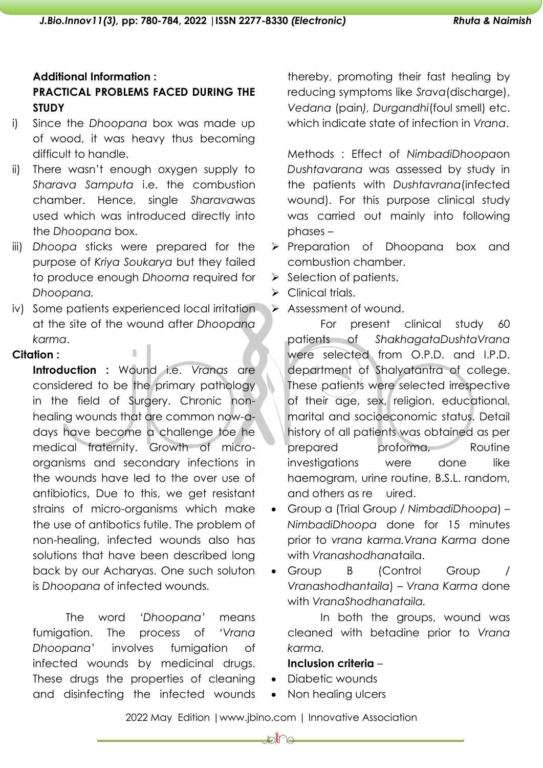# **Additional Information : PRACTICAL PROBLEMS FACED DURING THE STUDY**

- i) Since the *Dhoopana* box was made up of wood, it was heavy thus becoming difficult to handle.
- ii) There wasn't enough oxygen supply to *Sharava Samputa* i.e. the combustion chamber. Hence, single *Sharava*was used which was introduced directly into the *Dhoopana* box.
- iii) *Dhoopa* sticks were prepared for the purpose of *Kriya Soukarya* but they failed to produce enough *Dhooma* required for *Dhoopana.*
- iv) Some patients experienced local irritation at the site of the wound after *Dhoopana karma*.

### **Citation :**

**Introduction :** Wound i.e. *Vranas* are considered to be the primary pathology in the field of Surgery. Chronic nonhealing wounds that are common now-adays have become a challenge toe he medical fraternity. Growth of microorganisms and secondary infections in the wounds have led to the over use of antibiotics, Due to this, we get resistant strains of micro-organisms which make the use of antibotics futile. The problem of non-healing, infected wounds also has solutions that have been described long back by our Acharyas. One such soluton is *Dhoopana* of infected wounds.

The word *'Dhoopana'* means fumigation. The process of *'Vrana Dhoopana'* involves fumigation of infected wounds by medicinal drugs. These drugs the properties of cleaning and disinfecting the infected wounds thereby, promoting their fast healing by reducing symptoms like *Srava*(discharge), *Vedana* (pain*), Durgandhi*(foul smell) etc. which indicate state of infection in *Vrana*.

Methods : Effect of *NimbadiDhoopa*on *Dushtavarana* was assessed by study in the patients with *Dushtavrana*(infected wound). For this purpose clinical study was carried out mainly into following phases –

- ➢ Preparation of Dhoopana box and combustion chamber.
- ➢ Selection of patients.
- $\triangleright$  Clinical trials.
- ➢ Assessment of wound.

For present clinical study 60 patients of *ShakhagataDushtaVrana* were selected from O.P.D. and I.P.D. department of Shalyatantra of college. These patients were selected irrespective of their age, sex, religion, educational, marital and socioeconomic status. Detail history of all patients was obtained as per prepared proforma, Routine investigations were done like haemogram, urine routine, B.S.L. random, and others as re uired.

- Group a (Trial Group / *NimbadiDhoopa*) *NimbadiDhoopa* done for 15 minutes prior to *vrana karma.Vrana Karma* done with *Vranashodhana*taila.
- Group B (Control Group / *Vranashodhantaila*) – *Vrana Karma* done with *VranaShodhanataila.*

In both the groups, wound was cleaned with betadine prior to *Vrana karma.*

## **Inclusion criteria** –

- Diabetic wounds
- Non healing ulcers

2022 May Edition |www.jbino.com | Innovative Association

⊯a≹r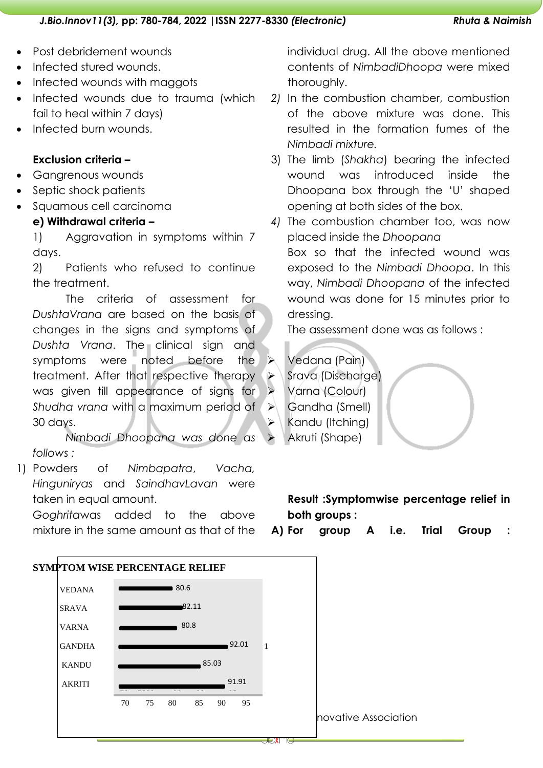- Post debridement wounds
- Infected stured wounds.
- Infected wounds with maggots
- Infected wounds due to trauma (which fail to heal within 7 days)
- Infected burn wounds.

### **Exclusion criteria –**

- Gangrenous wounds
- Septic shock patients
- Squamous cell carcinoma

# **e) Withdrawal criteria –**

1) Aggravation in symptoms within 7 days.

2) Patients who refused to continue the treatment.

The criteria of assessment for *DushtaVrana* are based on the basis of changes in the signs and symptoms of *Dushta Vrana*. The clinical sign and symptoms were noted before the treatment. After that respective therapy was given till appearance of signs for *Shudha vrana* with a maximum period of 30 days.

*Nimbadi Dhoopana was done as follows :*

1) Powders of *Nimbapatra*, *Vacha, Hinguniryas* and *SaindhavLavan* were taken in equal amount.

*Goghrita*was added to the above mixture in the same amount as that of the individual drug. All the above mentioned contents of *NimbadiDhoopa* were mixed thoroughly.

- *2)* In the combustion chamber, combustion of the above mixture was done. This resulted in the formation fumes of the *Nimbadi mixture.*
- 3) The limb (*Shakha*) bearing the infected wound was introduced inside the Dhoopana box through the 'U' shaped opening at both sides of the box.
- *4)* The combustion chamber too, was now placed inside the *Dhoopana* Box so that the infected wound was exposed to the *Nimbadi Dhoopa*. In this way, *Nimbadi Dhoopana* of the infected wound was done for 15 minutes prior to dressing.

The assessment done was as follows :

➢ Vedana (Pain) Srava (Discharge) ➢ Varna (Colour)

➢ Gandha (Smell)

- Kandu (Itching)
	- ➢ Akruti (Shape)

# **Result :Symptomwise percentage relief in both groups :**

**A) For group A i.e. Trial Group :**

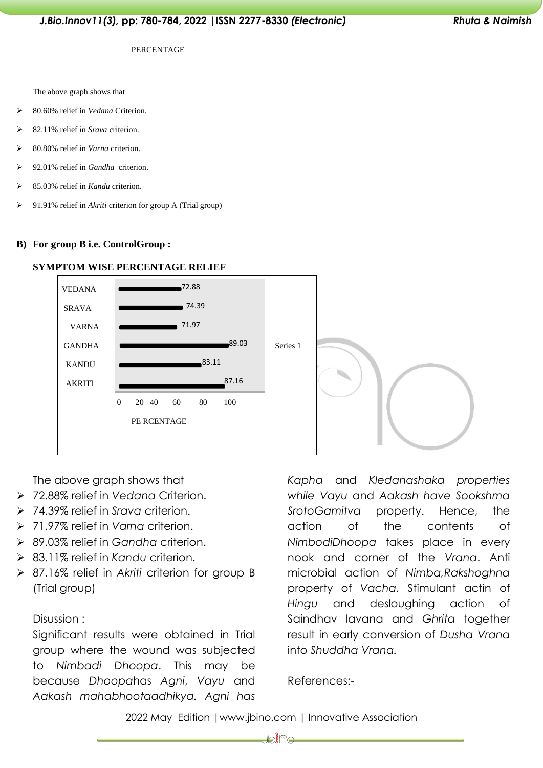#### PERCENTAGE

The above graph shows that

- ➢ 80.60% relief in *Vedana* Criterion.
- ➢ 82.11% relief in *Srava* criterion.
- ➢ 80.80% relief in *Varna* criterion.
- ➢ 92.01% relief in *Gandha* criterion.
- ➢ 85.03% relief in *Kandu* criterion.
- ➢ 91.91% relief in *Akriti* criterion for group A (Trial group)

#### **B) For group B i.e. ControlGroup :**



#### **SYMPTOM WISE PERCENTAGE RELIEF**

The above graph shows that

- ➢ 72.88% relief in *Vedana* Criterion.
- ➢ 74.39% relief in *Srava* criterion.
- ➢ 71.97% relief in *Varna* criterion.
- ➢ 89.03% relief in *Gandha* criterion.
- ➢ 83.11% relief in *Kandu* criterion.
- ➢ 87.16% relief in *Akriti* criterion for group B (Trial group)

### Disussion :

Significant results were obtained in Trial group where the wound was subjected to *Nimbadi Dhoopa*. This may be because *Dhoopa*has *Agni*, *Vayu* and *Aakash mahabhootaadhikya. Agni has* 

*Kapha* and *Kledanashaka properties while Vayu* and *Aakash have Sookshma SrotoGamitva* property. Hence, the action of the contents of *NimbodiDhoopa* takes place in every nook and corner of the *Vrana*. Anti microbial action of *Nimba,Rakshoghna* property of *Vacha.* Stimulant actin of *Hingu* and desloughing action of Saindhav lavana and *Ghrita* together result in early conversion of *Dusha Vrana* into *Shuddha Vrana.*

References:-

2022 May Edition |www.jbino.com | Innovative Association